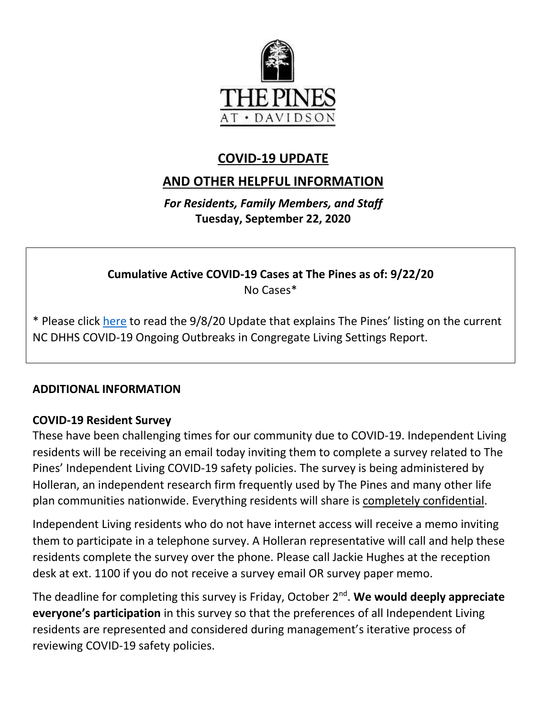

## **COVID-19 UPDATE**

# **AND OTHER HELPFUL INFORMATION**

*For Residents, Family Members, and Staff* **Tuesday, September 22, 2020**

**Cumulative Active COVID-19 Cases at The Pines as of: 9/22/20** No Cases\*

\* Please click [here](https://www.mycommunity-center.com/filephotos/463/COVID-19%20Update%209-8-2020.pdf) to read the 9/8/20 Update that explains The Pines' listing on the current NC DHHS COVID-19 Ongoing Outbreaks in Congregate Living Settings Report.

#### **ADDITIONAL INFORMATION**

#### **COVID-19 Resident Survey**

These have been challenging times for our community due to COVID-19. Independent Living residents will be receiving an email today inviting them to complete a survey related to The Pines' Independent Living COVID-19 safety policies. The survey is being administered by Holleran, an independent research firm frequently used by The Pines and many other life plan communities nationwide. Everything residents will share is completely confidential.

Independent Living residents who do not have internet access will receive a memo inviting them to participate in a telephone survey. A Holleran representative will call and help these residents complete the survey over the phone. Please call Jackie Hughes at the reception desk at ext. 1100 if you do not receive a survey email OR survey paper memo.

The deadline for completing this survey is Friday, October 2nd . **We would deeply appreciate everyone's participation** in this survey so that the preferences of all Independent Living residents are represented and considered during management's iterative process of reviewing COVID-19 safety policies.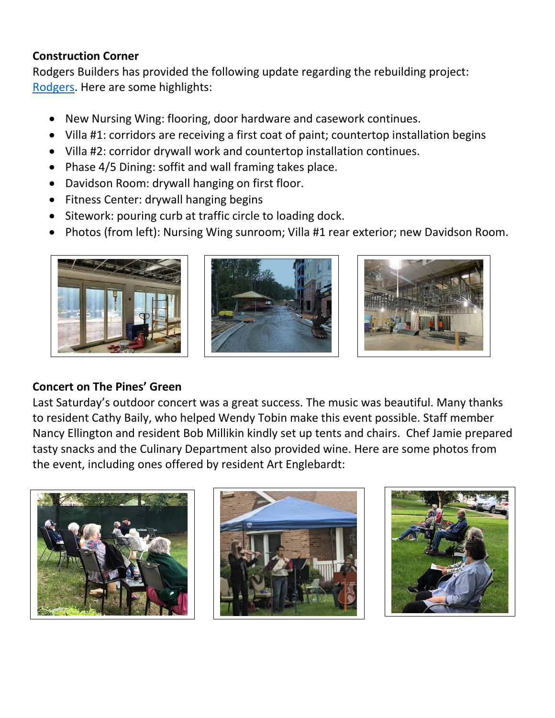## **Construction Corner**

Rodgers Builders has provided the following update regarding the rebuilding project: [Rodgers.](https://www.mycommunity-center.com/filephotos/463/2020-09-18%20Weekly%20Update.pdf) Here are some highlights:

- New Nursing Wing: flooring, door hardware and casework continues.
- Villa #1: corridors are receiving a first coat of paint; countertop installation begins
- Villa #2: corridor drywall work and countertop installation continues.
- Phase 4/5 Dining: soffit and wall framing takes place.
- Davidson Room: drywall hanging on first floor.
- Fitness Center: drywall hanging begins
- Sitework: pouring curb at traffic circle to loading dock.
- Photos (from left): Nursing Wing sunroom; Villa #1 rear exterior; new Davidson Room.







## **Concert on The Pines' Green**

Last Saturday's outdoor concert was a great success. The music was beautiful. Many thanks to resident Cathy Baily, who helped Wendy Tobin make this event possible. Staff member Nancy Ellington and resident Bob Millikin kindly set up tents and chairs. Chef Jamie prepared tasty snacks and the Culinary Department also provided wine. Here are some photos from the event, including ones offered by resident Art Englebardt: